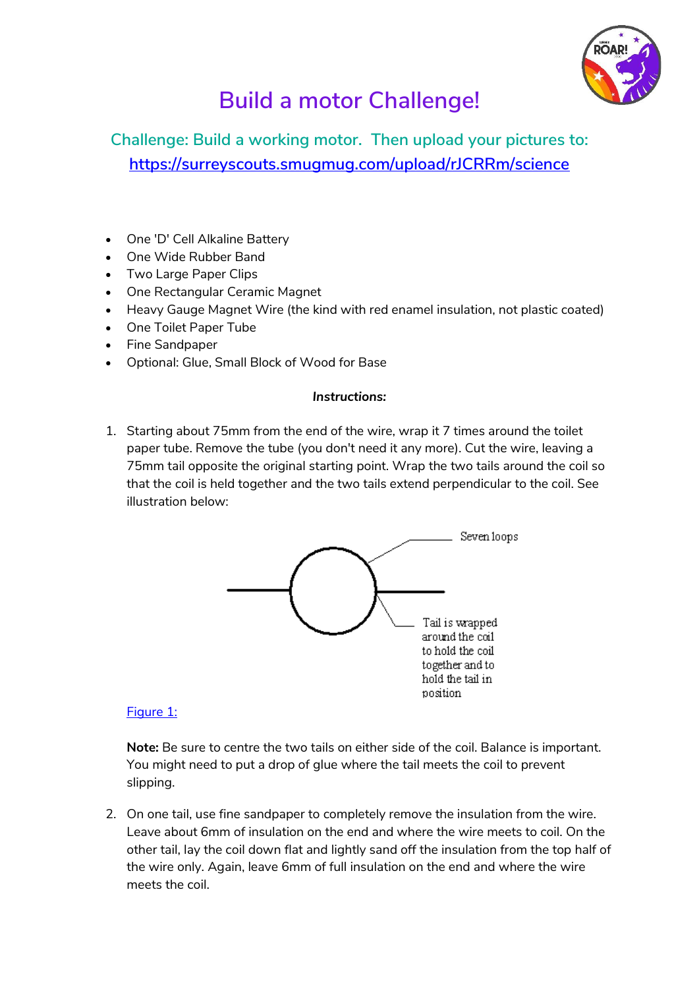

# **Build a motor Challenge!**

## **Challenge: Build a working motor. Then upload your pictures to: <https://surreyscouts.smugmug.com/upload/rJCRRm/science>**

- One 'D' Cell Alkaline Battery
- One Wide Rubber Band
- Two Large Paper Clips
- One Rectangular Ceramic Magnet
- Heavy Gauge Magnet Wire (the kind with red enamel insulation, not plastic coated)
- One Toilet Paper Tube
- Fine Sandpaper
- Optional: Glue, Small Block of Wood for Base

#### *Instructions:*

1. Starting about 75mm from the end of the wire, wrap it 7 times around the toilet paper tube. Remove the tube (you don't need it any more). Cut the wire, leaving a 75mm tail opposite the original starting point. Wrap the two tails around the coil so that the coil is held together and the two tails extend perpendicular to the coil. See illustration below:



#### [Figure 1:](http://fly.hiwaay.net/~palmer/M1.GIF)

**Note:** Be sure to centre the two tails on either side of the coil. Balance is important. You might need to put a drop of glue where the tail meets the coil to prevent slipping.

2. On one tail, use fine sandpaper to completely remove the insulation from the wire. Leave about 6mm of insulation on the end and where the wire meets to coil. On the other tail, lay the coil down flat and lightly sand off the insulation from the top half of the wire only. Again, leave 6mm of full insulation on the end and where the wire meets the coil.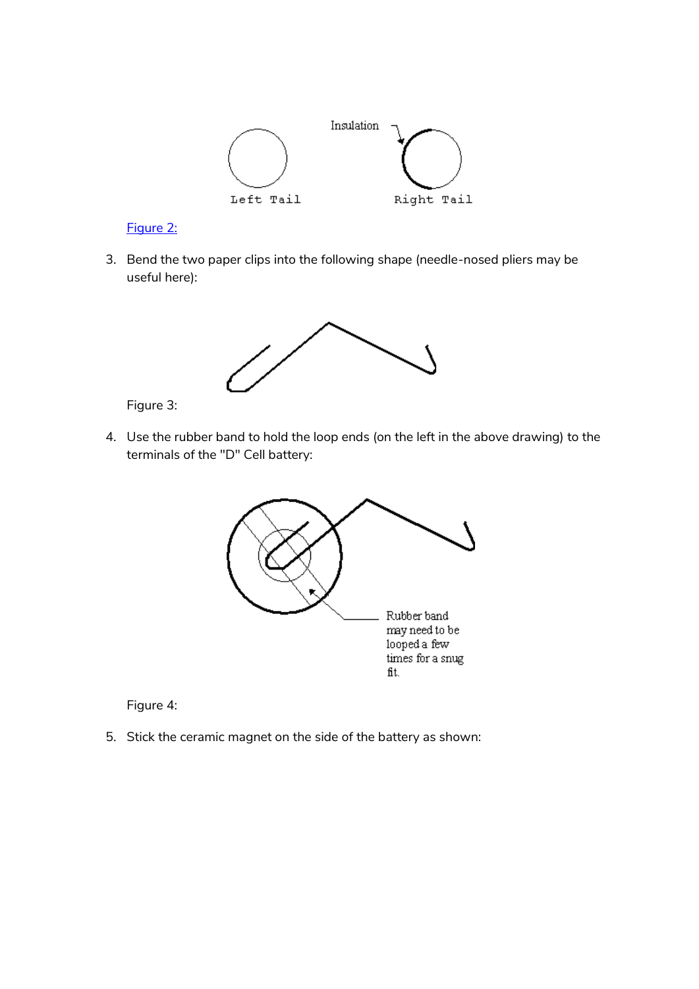

#### [Figure 2:](http://fly.hiwaay.net/~palmer/M2.GIF)

3. Bend the two paper clips into the following shape (needle-nosed pliers may be useful here):



Figure 3:

4. Use the rubber band to hold the loop ends (on the left in the above drawing) to the terminals of the "D" Cell battery:



Figure 4:

5. Stick the ceramic magnet on the side of the battery as shown: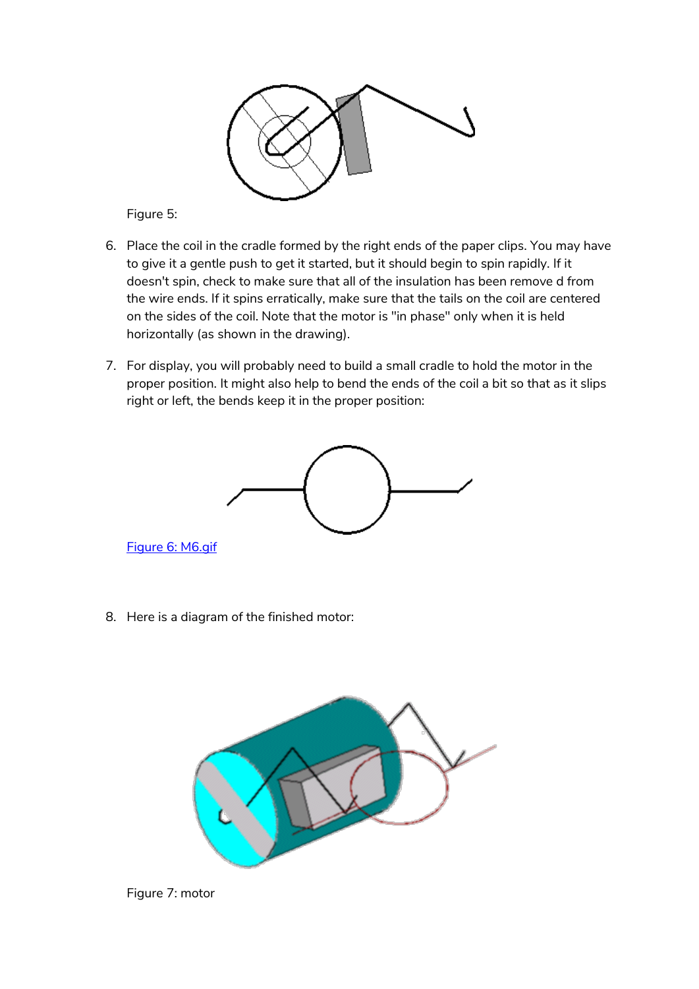

Figure 5:

- 6. Place the coil in the cradle formed by the right ends of the paper clips. You may have to give it a gentle push to get it started, but it should begin to spin rapidly. If it doesn't spin, check to make sure that all of the insulation has been remove d from the wire ends. If it spins erratically, make sure that the tails on the coil are centered on the sides of the coil. Note that the motor is "in phase" only when it is held horizontally (as shown in the drawing).
- 7. For display, you will probably need to build a small cradle to hold the motor in the proper position. It might also help to bend the ends of the coil a bit so that as it slips right or left, the bends keep it in the proper position:



[Figure 6: M6.gif](http://fly.hiwaay.net/~palmer/M6.GIF)

8. Here is a diagram of the finished motor:



Figure 7: motor